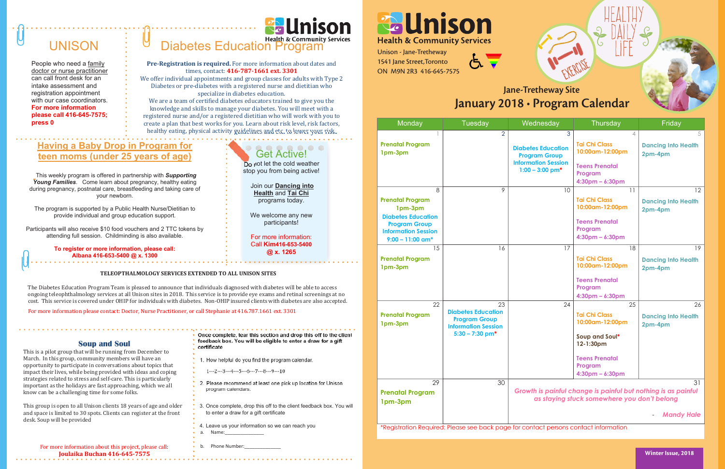Unison - Jane-Tretheway 1541 Jane Street,Toronto ON M9N 2R3 416-645-7575



- 1. How helpful do you find the program calendar.
- 1‐‐‐2‐‐‐3‐‐‐4‐‐‐5‐‐‐6‐‐‐7‐‐‐8‐‐‐9‐‐‐10
- 2. Please recommend at least one pick up location for Unison program calendars.
- 3. Once complete, drop this off to the client feedback box. You will to enter a draw for a gift certificate
- 4. Leave us your information so we can reach you Name:
- b. Phone Number:

**Health & Community Services** 

**Once complete, tear this section and drop this off to the client feedback box. You will be eligible to enter a draw for a gift certificate** 

For more information about this project, please call: **Joulaika Buchan 416‐645‐7575**

### **Soup and Soul**

This is a pilot group that will be running from December to March. In this group, community members will have an opportunity to participate in conversations about topics that impact their lives, while being provided with ideas and coping strategies related to stress and self-care. This is particularly important as the holidays are fast approaching, which we all know can be a challenging time for some folks.

This group is open to all Unison clients 18 years of age and older and space is limited to 30 spots. Clients can register at the front desk. Soup will be provided

**Pre-Registration is required.** For more information about dates and times, contact: **416‐787‐1661 ext. 3301**

We offer individual appointments and group classes for adults with Type 2 Diabetes or pre-diabetes with a registered nurse and dietitian who specialize in diabetes education.

We are a team of certified diabetes educators trained to give you the knowledge and skills to manage your diabetes. You will meet with a registered nurse and/or a registered dietitian who will work with you to create a plan that best works for you. Learn about risk level, risk factors, healthy eating, physical activity guidelines and etc. to lower your risk.



### Get Active! Do not let the cold weather

stop you from being active!

 Join our **Dancing into Health** and **Tai Chi** programs today.

We welcome any new participants!

For more information: Call **Kim416-653-5400 @ x. 1265**

### **Having a Baby Drop in Program for teen moms (under 25 years of age)**

This weekly program is offered in partnership with *Supporting Young Families*. Come learn about pregnancy, healthy eating during pregnancy, postnatal care, breastfeeding and taking care of your newborn.

 $\mathbf{S}$ **survey for a chance**   $\mathbf{r}$ **certificates.**

The program is supported by a Public Health Nurse/Dietitian to provide individual and group education support.

Participants will also receive \$10 food vouchers and 2 TTC tokens by attending full session. Childminding is also available.

> **To register or more information, please call: Albana 416-653-5400 @ x. 1300**

### **TELEOPTHALMOLOGY SERVICES EXTENDED TO ALL UNISON SITES**

The Diabetes Education Program Team is pleased to announce that individuals diagnosed with diabetes will be able to access ongoing teleophthalmology services at all Unison sites in 2018. This service is to provide eye exams and retinal screenings at no cost. This service is covered under OHIP for individuals with diabetes. Non-OHIP insured clients with diabetes are also accepted.

For more information please contact: Doctor, Nurse Practitioner, or call Stephanie at 416.787.1661 ext. 3301

# UNISON

People who need a family doctor or nurse practitioner can call front desk for an intake assessment and registration appointment with our case coordinators. **For more information please call 416-645-7575; press 0**

# **Diabetes Education Program**

| Monday                                                                                                                                           | <b>Tuesday</b>                                                                                             | Wednesday                                                                                                 | Thursday                                                                                                                              | Friday                                      |
|--------------------------------------------------------------------------------------------------------------------------------------------------|------------------------------------------------------------------------------------------------------------|-----------------------------------------------------------------------------------------------------------|---------------------------------------------------------------------------------------------------------------------------------------|---------------------------------------------|
| <b>Prenatal Program</b><br>1pm-3pm                                                                                                               | $\overline{2}$                                                                                             | 3<br><b>Diabetes Education</b><br><b>Program Group</b><br><b>Information Session</b><br>$1:00 - 3:00$ pm* | $\overline{4}$<br><b>Tai Chi Class</b><br>10:00am-12:00pm<br><b>Teens Prenatal</b><br>Program<br>$4:30pm - 6:30pm$                    | 5<br><b>Dancing Into Health</b><br>2pm-4pm  |
| 8<br><b>Prenatal Program</b><br>1pm-3pm<br><b>Diabetes Education</b><br><b>Program Group</b><br><b>Information Session</b><br>$9:00 - 11:00$ am* | $\overline{9}$                                                                                             | 10                                                                                                        | 11<br><b>Tai Chi Class</b><br>10:00am-12:00pm<br><b>Teens Prenatal</b><br>Program<br>$4:30$ pm – 6:30pm                               | 12<br><b>Dancing Into Health</b><br>2pm-4pm |
| 15<br><b>Prenatal Program</b><br>1pm-3pm                                                                                                         | 16                                                                                                         | 17                                                                                                        | 18<br><b>Tai Chi Class</b><br>10:00am-12:00pm<br><b>Teens Prenatal</b><br>Program<br>$4:30pm - 6:30pm$                                | 19<br><b>Dancing Into Health</b><br>2pm-4pm |
| 22<br><b>Prenatal Program</b><br>1pm-3pm                                                                                                         | 23<br><b>Diabetes Education</b><br><b>Program Group</b><br><b>Information Session</b><br>$5:30 - 7:30$ pm* | 24                                                                                                        | 25<br><b>Tai Chi Class</b><br>10:00am-12:00pm<br>Soup and Soul*<br>12-1:30pm<br><b>Teens Prenatal</b><br>Program<br>$4:30pm - 6:30pm$ | 26<br><b>Dancing Into Health</b><br>2pm-4pm |
| 29<br><b>Prenatal Program</b><br>1pm-3pm                                                                                                         | 30                                                                                                         |                                                                                                           | Growth is painful change is painful but nothing is as painful<br>as staying stuck somewhere you don't belong                          | 31<br><b>Mandy Hale</b>                     |

\*Registration Required: Please see back page for contact persons contact information

Winter Issue, 2018